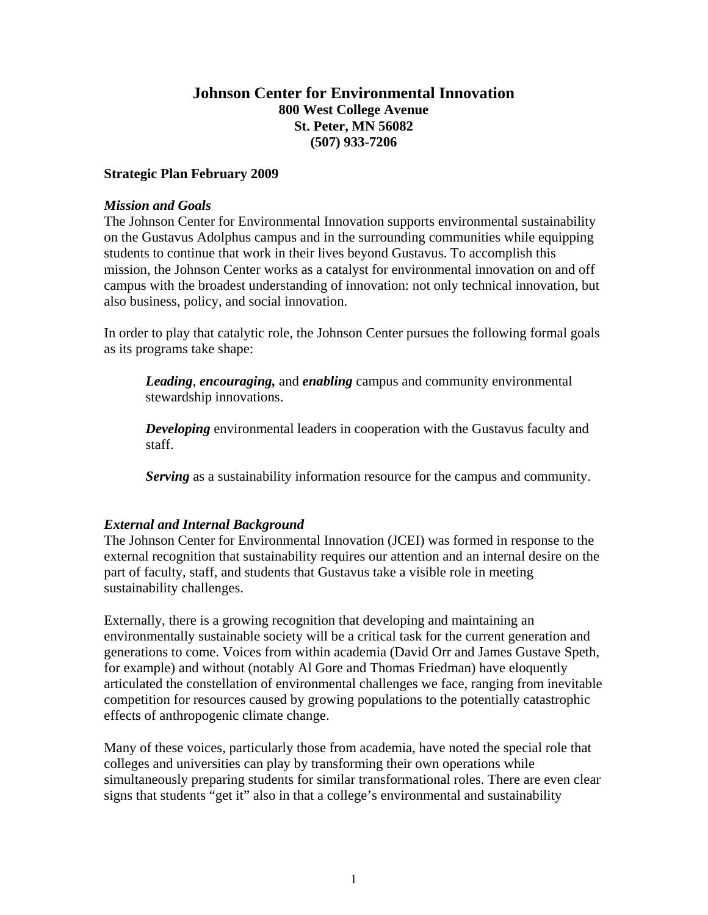# **Johnson Center for Environmental Innovation 800 West College Avenue St. Peter, MN 56082 (507) 933-7206**

#### **Strategic Plan February 2009**

#### *Mission and Goals*

The Johnson Center for Environmental Innovation supports environmental sustainability on the Gustavus Adolphus campus and in the surrounding communities while equipping students to continue that work in their lives beyond Gustavus. To accomplish this mission, the Johnson Center works as a catalyst for environmental innovation on and off campus with the broadest understanding of innovation: not only technical innovation, but also business, policy, and social innovation.

In order to play that catalytic role, the Johnson Center pursues the following formal goals as its programs take shape:

*Leading*, *encouraging,* and *enabling* campus and community environmental stewardship innovations.

*Developing* environmental leaders in cooperation with the Gustavus faculty and staff.

*Serving* as a sustainability information resource for the campus and community.

## *External and Internal Background*

The Johnson Center for Environmental Innovation (JCEI) was formed in response to the external recognition that sustainability requires our attention and an internal desire on the part of faculty, staff, and students that Gustavus take a visible role in meeting sustainability challenges.

Externally, there is a growing recognition that developing and maintaining an environmentally sustainable society will be a critical task for the current generation and generations to come. Voices from within academia (David Orr and James Gustave Speth, for example) and without (notably Al Gore and Thomas Friedman) have eloquently articulated the constellation of environmental challenges we face, ranging from inevitable competition for resources caused by growing populations to the potentially catastrophic effects of anthropogenic climate change.

Many of these voices, particularly those from academia, have noted the special role that colleges and universities can play by transforming their own operations while simultaneously preparing students for similar transformational roles. There are even clear signs that students "get it" also in that a college's environmental and sustainability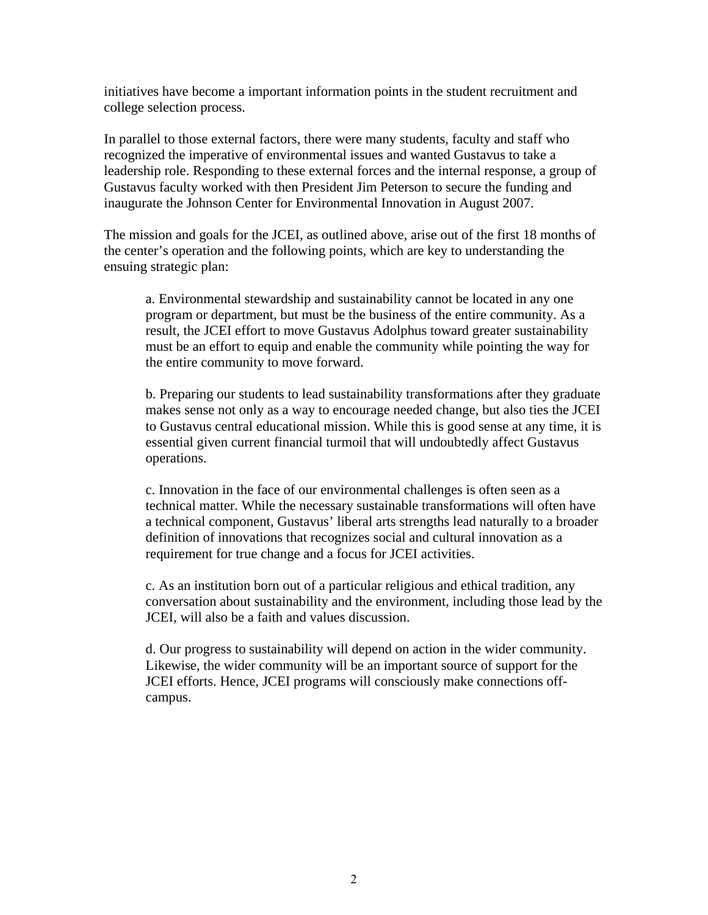initiatives have become a important information points in the student recruitment and college selection process.

In parallel to those external factors, there were many students, faculty and staff who recognized the imperative of environmental issues and wanted Gustavus to take a leadership role. Responding to these external forces and the internal response, a group of Gustavus faculty worked with then President Jim Peterson to secure the funding and inaugurate the Johnson Center for Environmental Innovation in August 2007.

The mission and goals for the JCEI, as outlined above, arise out of the first 18 months of the center's operation and the following points, which are key to understanding the ensuing strategic plan:

a. Environmental stewardship and sustainability cannot be located in any one program or department, but must be the business of the entire community. As a result, the JCEI effort to move Gustavus Adolphus toward greater sustainability must be an effort to equip and enable the community while pointing the way for the entire community to move forward.

b. Preparing our students to lead sustainability transformations after they graduate makes sense not only as a way to encourage needed change, but also ties the JCEI to Gustavus central educational mission. While this is good sense at any time, it is essential given current financial turmoil that will undoubtedly affect Gustavus operations.

c. Innovation in the face of our environmental challenges is often seen as a technical matter. While the necessary sustainable transformations will often have a technical component, Gustavus' liberal arts strengths lead naturally to a broader definition of innovations that recognizes social and cultural innovation as a requirement for true change and a focus for JCEI activities.

c. As an institution born out of a particular religious and ethical tradition, any conversation about sustainability and the environment, including those lead by the JCEI, will also be a faith and values discussion.

d. Our progress to sustainability will depend on action in the wider community. Likewise, the wider community will be an important source of support for the JCEI efforts. Hence, JCEI programs will consciously make connections offcampus.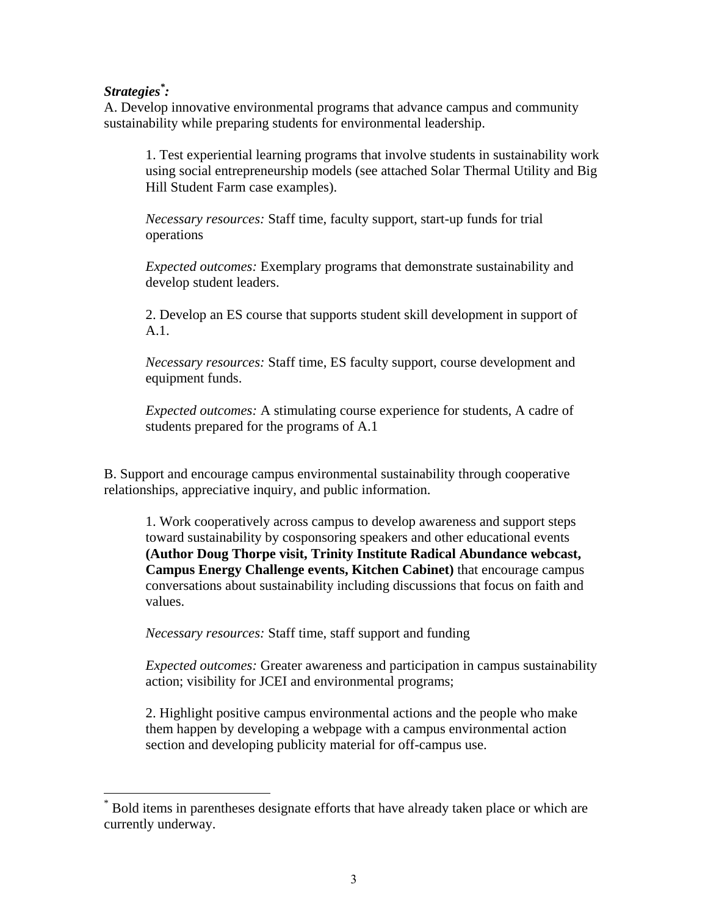# *Strategies\* :*

 $\overline{a}$ 

A. Develop innovative environmental programs that advance campus and community sustainability while preparing students for environmental leadership.

1. Test experiential learning programs that involve students in sustainability work using social entrepreneurship models (see attached Solar Thermal Utility and Big Hill Student Farm case examples).

*Necessary resources:* Staff time, faculty support, start-up funds for trial operations

*Expected outcomes:* Exemplary programs that demonstrate sustainability and develop student leaders.

2. Develop an ES course that supports student skill development in support of A.1.

*Necessary resources:* Staff time, ES faculty support, course development and equipment funds.

*Expected outcomes:* A stimulating course experience for students, A cadre of students prepared for the programs of A.1

B. Support and encourage campus environmental sustainability through cooperative relationships, appreciative inquiry, and public information.

1. Work cooperatively across campus to develop awareness and support steps toward sustainability by cosponsoring speakers and other educational events **(Author Doug Thorpe visit, Trinity Institute Radical Abundance webcast, Campus Energy Challenge events, Kitchen Cabinet)** that encourage campus conversations about sustainability including discussions that focus on faith and values.

*Necessary resources:* Staff time, staff support and funding

*Expected outcomes:* Greater awareness and participation in campus sustainability action; visibility for JCEI and environmental programs;

2. Highlight positive campus environmental actions and the people who make them happen by developing a webpage with a campus environmental action section and developing publicity material for off-campus use.

<sup>\*</sup> Bold items in parentheses designate efforts that have already taken place or which are currently underway.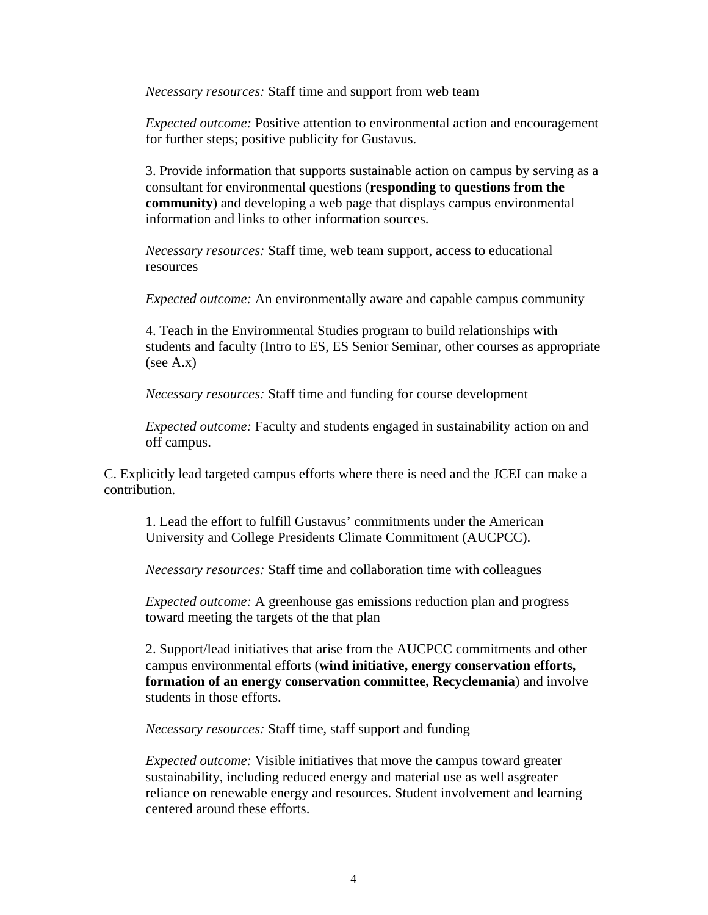*Necessary resources:* Staff time and support from web team

*Expected outcome:* Positive attention to environmental action and encouragement for further steps; positive publicity for Gustavus.

3. Provide information that supports sustainable action on campus by serving as a consultant for environmental questions (**responding to questions from the community**) and developing a web page that displays campus environmental information and links to other information sources.

*Necessary resources:* Staff time, web team support, access to educational resources

*Expected outcome:* An environmentally aware and capable campus community

4. Teach in the Environmental Studies program to build relationships with students and faculty (Intro to ES, ES Senior Seminar, other courses as appropriate  $(see A.x)$ 

*Necessary resources:* Staff time and funding for course development

*Expected outcome:* Faculty and students engaged in sustainability action on and off campus.

C. Explicitly lead targeted campus efforts where there is need and the JCEI can make a contribution.

1. Lead the effort to fulfill Gustavus' commitments under the American University and College Presidents Climate Commitment (AUCPCC).

*Necessary resources:* Staff time and collaboration time with colleagues

*Expected outcome:* A greenhouse gas emissions reduction plan and progress toward meeting the targets of the that plan

2. Support/lead initiatives that arise from the AUCPCC commitments and other campus environmental efforts (**wind initiative, energy conservation efforts, formation of an energy conservation committee, Recyclemania**) and involve students in those efforts.

*Necessary resources:* Staff time, staff support and funding

*Expected outcome:* Visible initiatives that move the campus toward greater sustainability, including reduced energy and material use as well asgreater reliance on renewable energy and resources. Student involvement and learning centered around these efforts.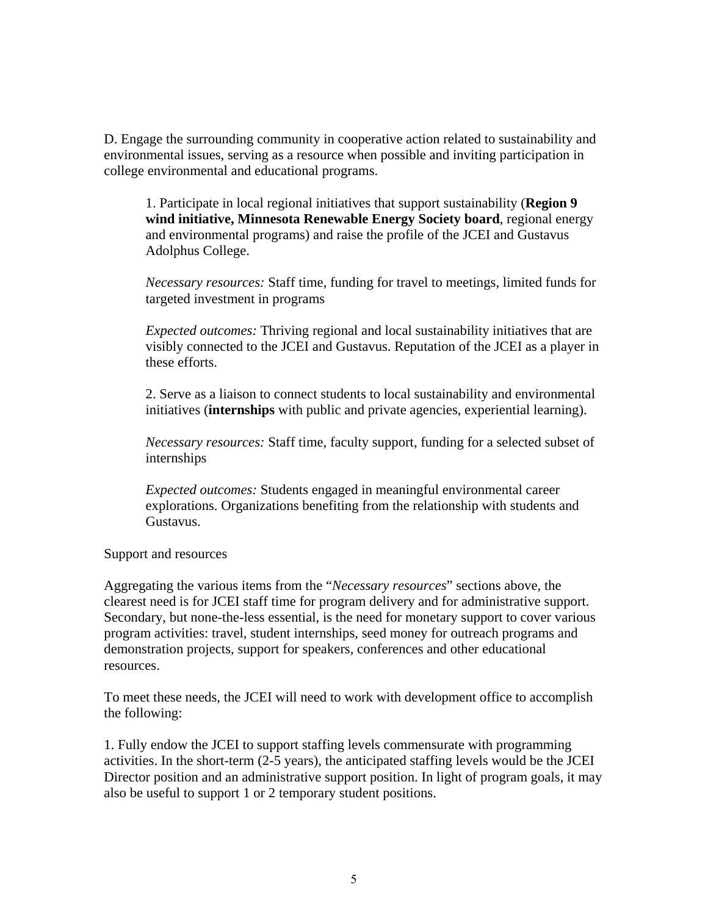D. Engage the surrounding community in cooperative action related to sustainability and environmental issues, serving as a resource when possible and inviting participation in college environmental and educational programs.

1. Participate in local regional initiatives that support sustainability (**Region 9 wind initiative, Minnesota Renewable Energy Society board**, regional energy and environmental programs) and raise the profile of the JCEI and Gustavus Adolphus College.

*Necessary resources:* Staff time, funding for travel to meetings, limited funds for targeted investment in programs

*Expected outcomes:* Thriving regional and local sustainability initiatives that are visibly connected to the JCEI and Gustavus. Reputation of the JCEI as a player in these efforts.

2. Serve as a liaison to connect students to local sustainability and environmental initiatives (**internships** with public and private agencies, experiential learning).

*Necessary resources:* Staff time, faculty support, funding for a selected subset of internships

*Expected outcomes:* Students engaged in meaningful environmental career explorations. Organizations benefiting from the relationship with students and Gustavus.

Support and resources

Aggregating the various items from the "*Necessary resources*" sections above, the clearest need is for JCEI staff time for program delivery and for administrative support. Secondary, but none-the-less essential, is the need for monetary support to cover various program activities: travel, student internships, seed money for outreach programs and demonstration projects, support for speakers, conferences and other educational resources.

To meet these needs, the JCEI will need to work with development office to accomplish the following:

1. Fully endow the JCEI to support staffing levels commensurate with programming activities. In the short-term (2-5 years), the anticipated staffing levels would be the JCEI Director position and an administrative support position. In light of program goals, it may also be useful to support 1 or 2 temporary student positions.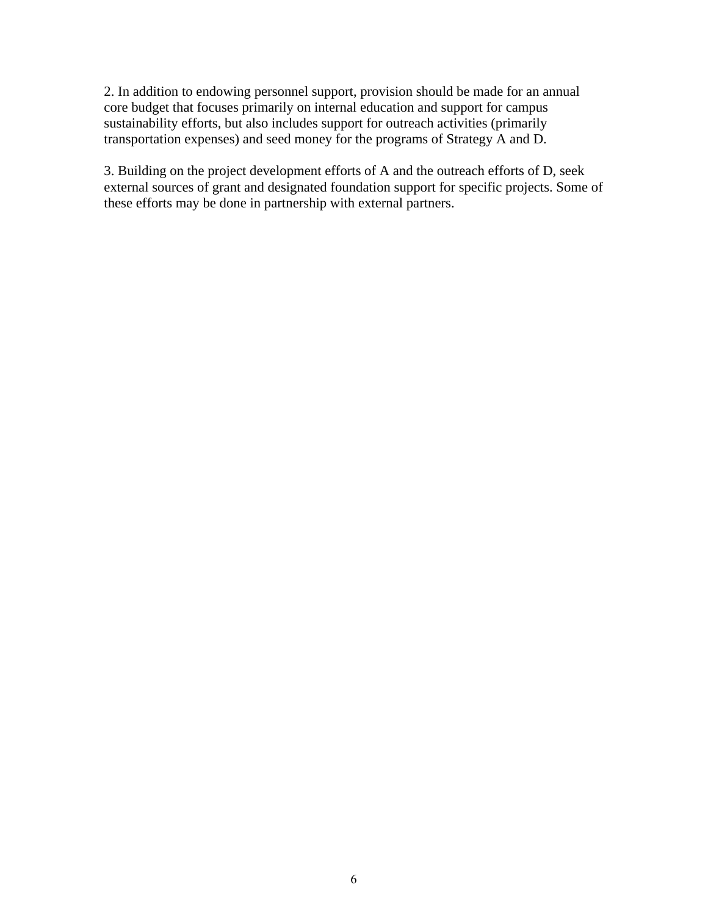2. In addition to endowing personnel support, provision should be made for an annual core budget that focuses primarily on internal education and support for campus sustainability efforts, but also includes support for outreach activities (primarily transportation expenses) and seed money for the programs of Strategy A and D.

3. Building on the project development efforts of A and the outreach efforts of D, seek external sources of grant and designated foundation support for specific projects. Some of these efforts may be done in partnership with external partners.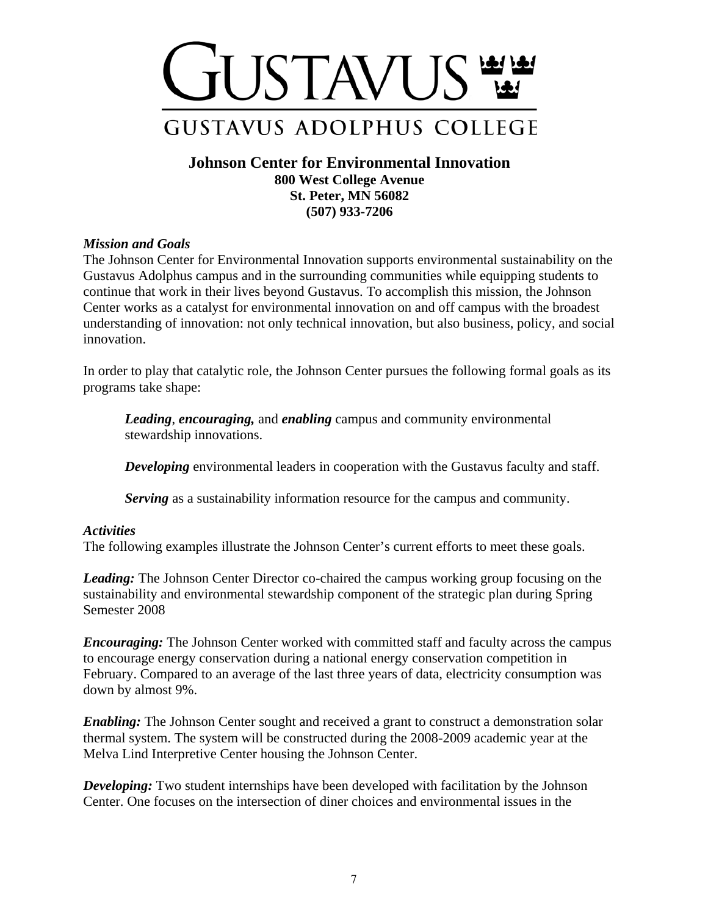

**Johnson Center for Environmental Innovation 800 West College Avenue St. Peter, MN 56082 (507) 933-7206** 

## *Mission and Goals*

The Johnson Center for Environmental Innovation supports environmental sustainability on the Gustavus Adolphus campus and in the surrounding communities while equipping students to continue that work in their lives beyond Gustavus. To accomplish this mission, the Johnson Center works as a catalyst for environmental innovation on and off campus with the broadest understanding of innovation: not only technical innovation, but also business, policy, and social innovation.

In order to play that catalytic role, the Johnson Center pursues the following formal goals as its programs take shape:

*Leading*, *encouraging,* and *enabling* campus and community environmental stewardship innovations.

*Developing* environmental leaders in cooperation with the Gustavus faculty and staff.

*Serving* as a sustainability information resource for the campus and community.

#### *Activities*

The following examples illustrate the Johnson Center's current efforts to meet these goals.

*Leading:* The Johnson Center Director co-chaired the campus working group focusing on the sustainability and environmental stewardship component of the strategic plan during Spring Semester 2008

*Encouraging:* The Johnson Center worked with committed staff and faculty across the campus to encourage energy conservation during a national energy conservation competition in February. Compared to an average of the last three years of data, electricity consumption was down by almost 9%.

*Enabling*: The Johnson Center sought and received a grant to construct a demonstration solar thermal system. The system will be constructed during the 2008-2009 academic year at the Melva Lind Interpretive Center housing the Johnson Center.

*Developing:* Two student internships have been developed with facilitation by the Johnson Center. One focuses on the intersection of diner choices and environmental issues in the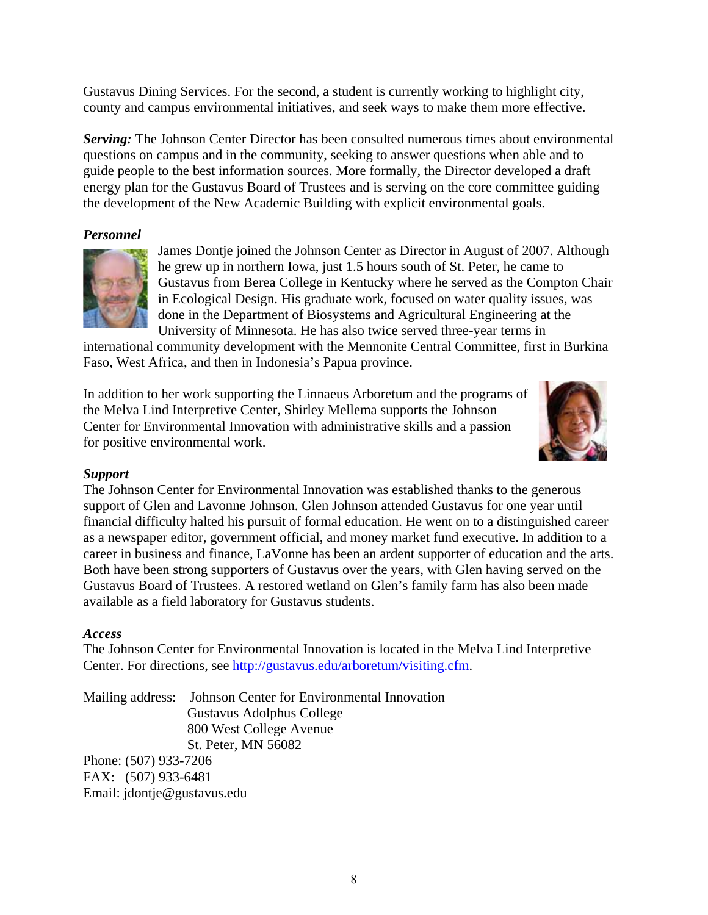Gustavus Dining Services. For the second, a student is currently working to highlight city, county and campus environmental initiatives, and seek ways to make them more effective.

*Serving:* The Johnson Center Director has been consulted numerous times about environmental questions on campus and in the community, seeking to answer questions when able and to guide people to the best information sources. More formally, the Director developed a draft energy plan for the Gustavus Board of Trustees and is serving on the core committee guiding the development of the New Academic Building with explicit environmental goals.

# *Personnel*



James Dontje joined the Johnson Center as Director in August of 2007. Although he grew up in northern Iowa, just 1.5 hours south of St. Peter, he came to Gustavus from Berea College in Kentucky where he served as the Compton Chair in Ecological Design. His graduate work, focused on water quality issues, was done in the Department of Biosystems and Agricultural Engineering at the University of Minnesota. He has also twice served three-year terms in

international community development with the Mennonite Central Committee, first in Burkina Faso, West Africa, and then in Indonesia's Papua province.

In addition to her work supporting the Linnaeus Arboretum and the programs of the Melva Lind Interpretive Center, Shirley Mellema supports the Johnson Center for Environmental Innovation with administrative skills and a passion for positive environmental work.



## *Support*

The Johnson Center for Environmental Innovation was established thanks to the generous support of Glen and Lavonne Johnson. Glen Johnson attended Gustavus for one year until financial difficulty halted his pursuit of formal education. He went on to a distinguished career as a newspaper editor, government official, and money market fund executive. In addition to a career in business and finance, LaVonne has been an ardent supporter of education and the arts. Both have been strong supporters of Gustavus over the years, with Glen having served on the Gustavus Board of Trustees. A restored wetland on Glen's family farm has also been made available as a field laboratory for Gustavus students.

## *Access*

The Johnson Center for Environmental Innovation is located in the Melva Lind Interpretive Center. For directions, see http://gustavus.edu/arboretum/visiting.cfm.

Mailing address: Johnson Center for Environmental Innovation Gustavus Adolphus College 800 West College Avenue St. Peter, MN 56082 Phone: (507) 933-7206 FAX: (507) 933-6481 Email: jdontje@gustavus.edu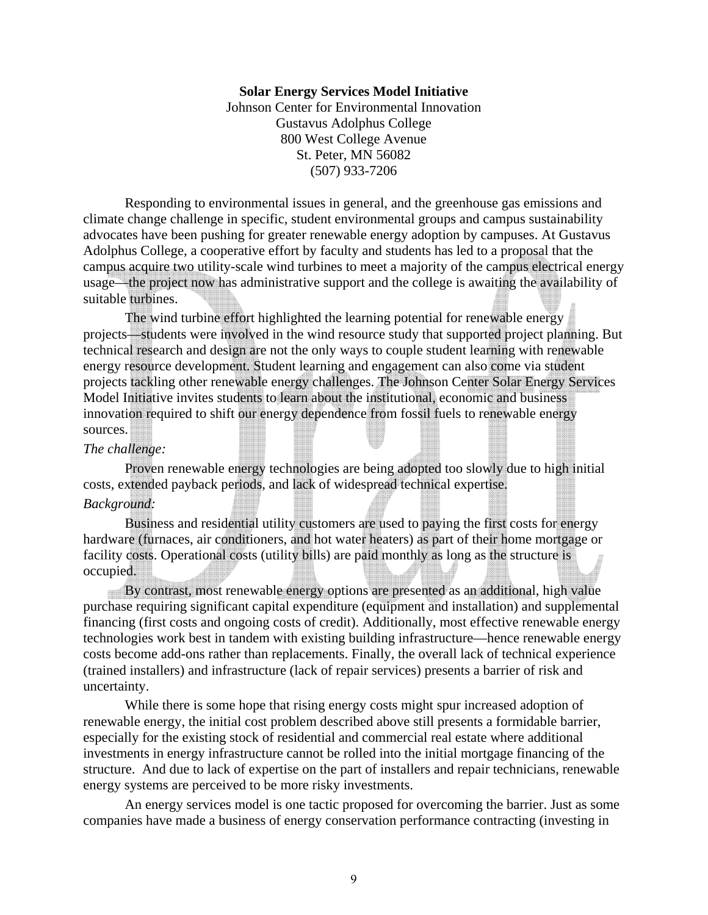#### **Solar Energy Services Model Initiative**

Johnson Center for Environmental Innovation Gustavus Adolphus College 800 West College Avenue St. Peter, MN 56082 (507) 933-7206

Responding to environmental issues in general, and the greenhouse gas emissions and climate change challenge in specific, student environmental groups and campus sustainability advocates have been pushing for greater renewable energy adoption by campuses. At Gustavus Adolphus College, a cooperative effort by faculty and students has led to a proposal that the campus acquire two utility-scale wind turbines to meet a majority of the campus electrical energy usage—the project now has administrative support and the college is awaiting the availability of suitable turbines.

The wind turbine effort highlighted the learning potential for renewable energy projects—students were involved in the wind resource study that supported project planning. But technical research and design are not the only ways to couple student learning with renewable energy resource development. Student learning and engagement can also come via student projects tackling other renewable energy challenges. The Johnson Center Solar Energy Services Model Initiative invites students to learn about the institutional, economic and business innovation required to shift our energy dependence from fossil fuels to renewable energy sources.

#### *The challenge:*

Proven renewable energy technologies are being adopted too slowly due to high initial costs, extended payback periods, and lack of widespread technical expertise.

#### *Background:*

Business and residential utility customers are used to paying the first costs for energy hardware (furnaces, air conditioners, and hot water heaters) as part of their home mortgage or facility costs. Operational costs (utility bills) are paid monthly as long as the structure is occupied.

By contrast, most renewable energy options are presented as an additional, high value purchase requiring significant capital expenditure (equipment and installation) and supplemental financing (first costs and ongoing costs of credit). Additionally, most effective renewable energy technologies work best in tandem with existing building infrastructure—hence renewable energy costs become add-ons rather than replacements. Finally, the overall lack of technical experience (trained installers) and infrastructure (lack of repair services) presents a barrier of risk and uncertainty.

While there is some hope that rising energy costs might spur increased adoption of renewable energy, the initial cost problem described above still presents a formidable barrier, especially for the existing stock of residential and commercial real estate where additional investments in energy infrastructure cannot be rolled into the initial mortgage financing of the structure. And due to lack of expertise on the part of installers and repair technicians, renewable energy systems are perceived to be more risky investments.

An energy services model is one tactic proposed for overcoming the barrier. Just as some companies have made a business of energy conservation performance contracting (investing in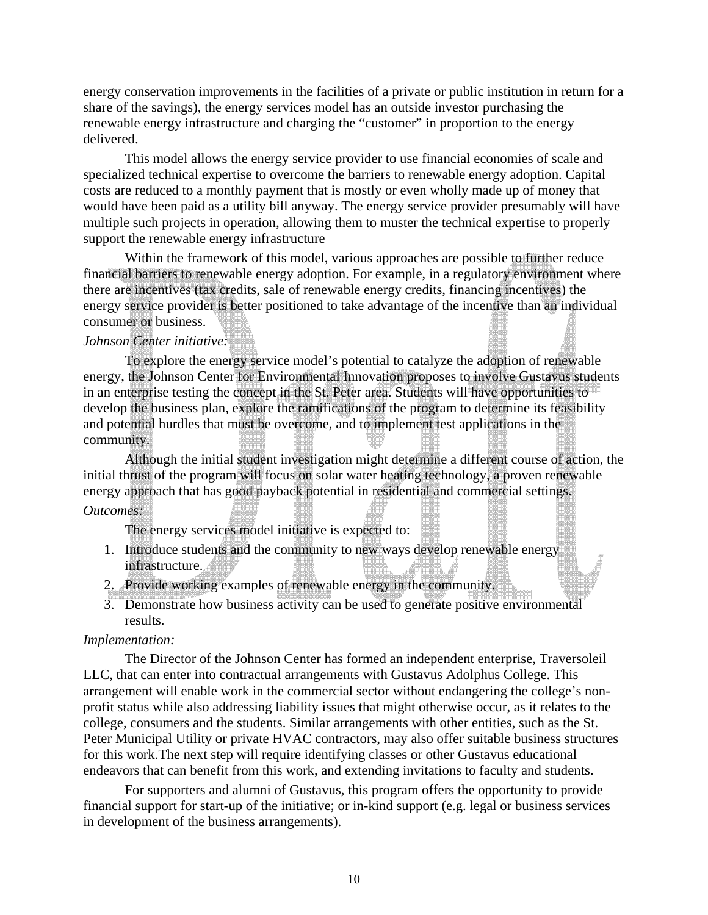energy conservation improvements in the facilities of a private or public institution in return for a share of the savings), the energy services model has an outside investor purchasing the renewable energy infrastructure and charging the "customer" in proportion to the energy delivered.

This model allows the energy service provider to use financial economies of scale and specialized technical expertise to overcome the barriers to renewable energy adoption. Capital costs are reduced to a monthly payment that is mostly or even wholly made up of money that would have been paid as a utility bill anyway. The energy service provider presumably will have multiple such projects in operation, allowing them to muster the technical expertise to properly support the renewable energy infrastructure

Within the framework of this model, various approaches are possible to further reduce financial barriers to renewable energy adoption. For example, in a regulatory environment where there are incentives (tax credits, sale of renewable energy credits, financing incentives) the energy service provider is better positioned to take advantage of the incentive than an individual consumer or business.

#### *Johnson Center initiative:*

To explore the energy service model's potential to catalyze the adoption of renewable energy, the Johnson Center for Environmental Innovation proposes to involve Gustavus students in an enterprise testing the concept in the St. Peter area. Students will have opportunities to develop the business plan, explore the ramifications of the program to determine its feasibility and potential hurdles that must be overcome, and to implement test applications in the community.

Although the initial student investigation might determine a different course of action, the initial thrust of the program will focus on solar water heating technology, a proven renewable energy approach that has good payback potential in residential and commercial settings. *Outcomes:*

The energy services model initiative is expected to:

- 1. Introduce students and the community to new ways develop renewable energy infrastructure.
- 2. Provide working examples of renewable energy in the community.
- 3. Demonstrate how business activity can be used to generate positive environmental results.

## *Implementation:*

The Director of the Johnson Center has formed an independent enterprise, Traversoleil LLC, that can enter into contractual arrangements with Gustavus Adolphus College. This arrangement will enable work in the commercial sector without endangering the college's nonprofit status while also addressing liability issues that might otherwise occur, as it relates to the college, consumers and the students. Similar arrangements with other entities, such as the St. Peter Municipal Utility or private HVAC contractors, may also offer suitable business structures for this work.The next step will require identifying classes or other Gustavus educational endeavors that can benefit from this work, and extending invitations to faculty and students.

For supporters and alumni of Gustavus, this program offers the opportunity to provide financial support for start-up of the initiative; or in-kind support (e.g. legal or business services in development of the business arrangements).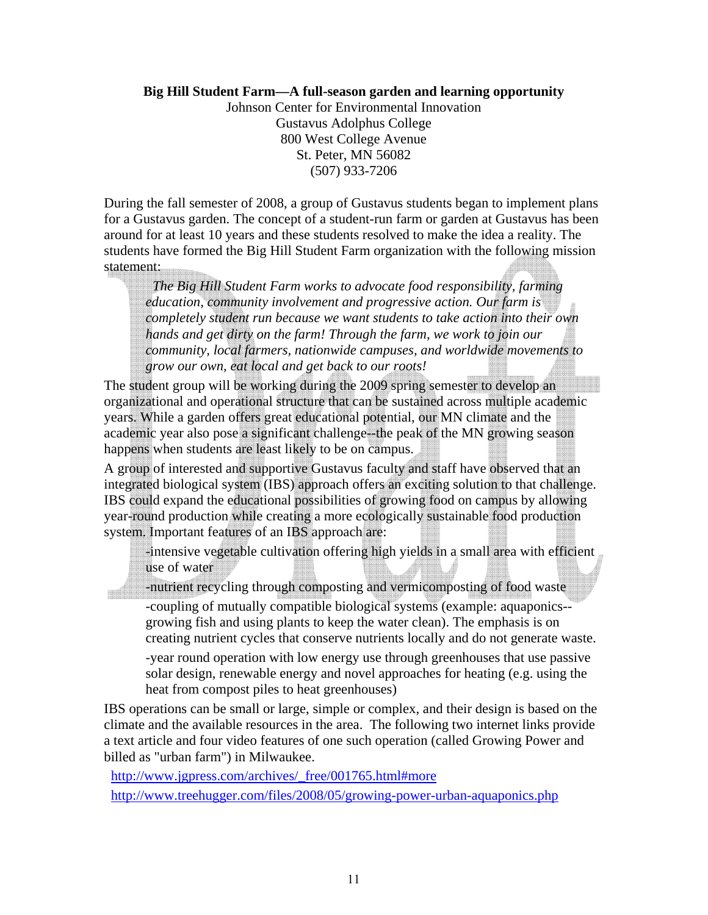# **Big Hill Student Farm—A full-season garden and learning opportunity**

Johnson Center for Environmental Innovation Gustavus Adolphus College 800 West College Avenue St. Peter, MN 56082 (507) 933-7206

During the fall semester of 2008, a group of Gustavus students began to implement plans for a Gustavus garden. The concept of a student-run farm or garden at Gustavus has been around for at least 10 years and these students resolved to make the idea a reality. The students have formed the Big Hill Student Farm organization with the following mission statement:

 *The Big Hill Student Farm works to advocate food responsibility, farming education, community involvement and progressive action. Our farm is completely student run because we want students to take action into their own hands and get dirty on the farm! Through the farm, we work to join our community, local farmers, nationwide campuses, and worldwide movements to grow our own, eat local and get back to our roots!* 

The student group will be working during the 2009 spring semester to develop an organizational and operational structure that can be sustained across multiple academic years. While a garden offers great educational potential, our MN climate and the academic year also pose a significant challenge--the peak of the MN growing season happens when students are least likely to be on campus.

A group of interested and supportive Gustavus faculty and staff have observed that an integrated biological system (IBS) approach offers an exciting solution to that challenge. IBS could expand the educational possibilities of growing food on campus by allowing year-round production while creating a more ecologically sustainable food production system. Important features of an IBS approach are:

-intensive vegetable cultivation offering high yields in a small area with efficient use of water

-nutrient recycling through composting and vermicomposting of food waste -coupling of mutually compatible biological systems (example: aquaponics- growing fish and using plants to keep the water clean). The emphasis is on creating nutrient cycles that conserve nutrients locally and do not generate waste.

-year round operation with low energy use through greenhouses that use passive solar design, renewable energy and novel approaches for heating (e.g. using the heat from compost piles to heat greenhouses)

IBS operations can be small or large, simple or complex, and their design is based on the climate and the available resources in the area. The following two internet links provide a text article and four video features of one such operation (called Growing Power and billed as "urban farm") in Milwaukee.

http://www.jgpress.com/archives/\_free/001765.html#more

mill

http://www.treehugger.com/files/2008/05/growing-power-urban-aquaponics.php